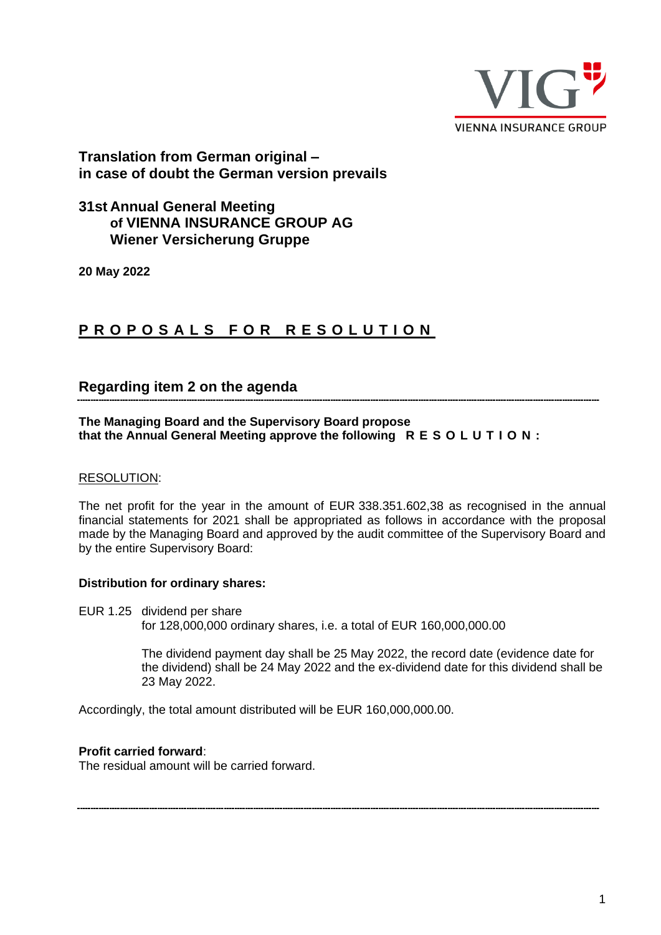

# **Translation from German original – in case of doubt the German version prevails**

# **31st Annual General Meeting of VIENNA INSURANCE GROUP AG Wiener Versicherung Gruppe**

**20 May 2022**

# **PROPOSALS FOR RESOLUTION**

# **Regarding item 2 on the agenda**

**The Managing Board and the Supervisory Board propose that the Annual General Meeting approve the following R E S O L U T I O N :**

#### RESOLUTION:

The net profit for the year in the amount of EUR 338.351.602,38 as recognised in the annual financial statements for 2021 shall be appropriated as follows in accordance with the proposal made by the Managing Board and approved by the audit committee of the Supervisory Board and by the entire Supervisory Board:

#### **Distribution for ordinary shares:**

EUR 1.25 dividend per share for 128,000,000 ordinary shares, i.e. a total of EUR 160,000,000.00

> The dividend payment day shall be 25 May 2022, the record date (evidence date for the dividend) shall be 24 May 2022 and the ex-dividend date for this dividend shall be 23 May 2022.

Accordingly, the total amount distributed will be EUR 160,000,000.00.

#### **Profit carried forward**:

The residual amount will be carried forward.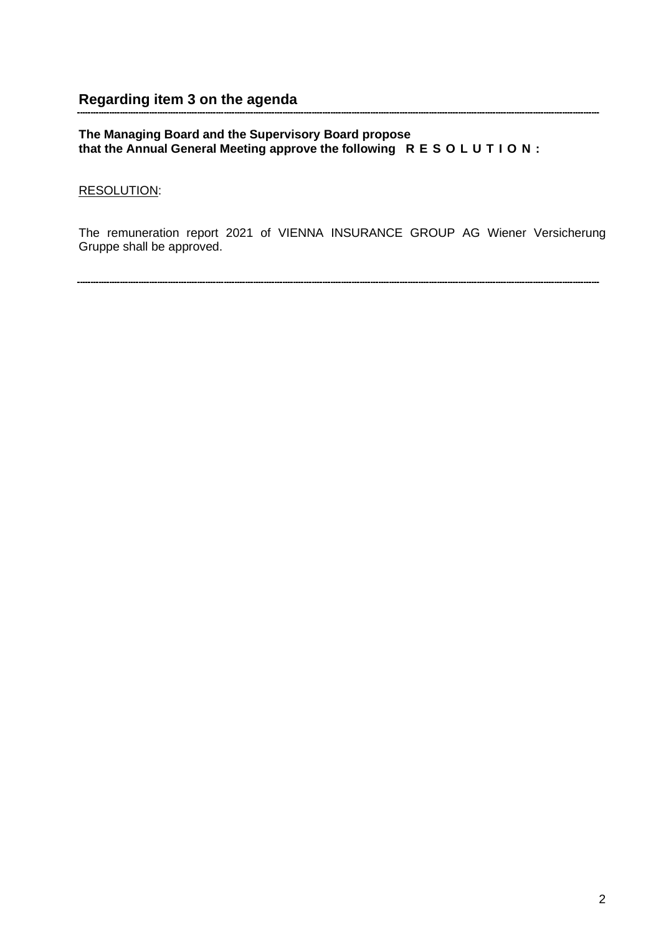#### **The Managing Board and the Supervisory Board propose that the Annual General Meeting approve the following R E S O L U T I O N :**

### RESOLUTION:

The remuneration report 2021 of VIENNA INSURANCE GROUP AG Wiener Versicherung Gruppe shall be approved.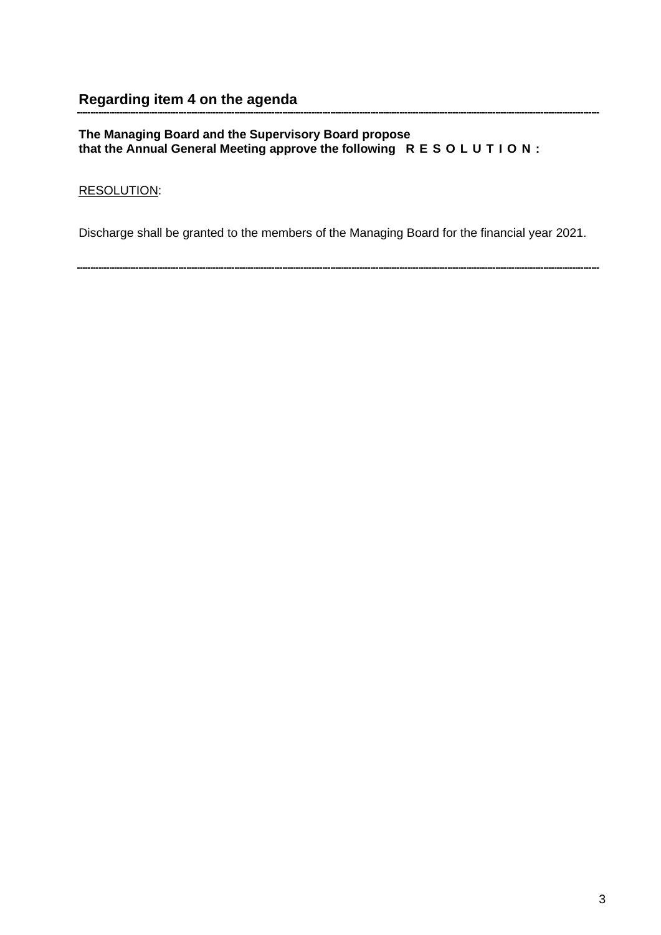#### **The Managing Board and the Supervisory Board propose that the Annual General Meeting approve the following R E S O L U T I O N :**

## RESOLUTION:

Discharge shall be granted to the members of the Managing Board for the financial year 2021.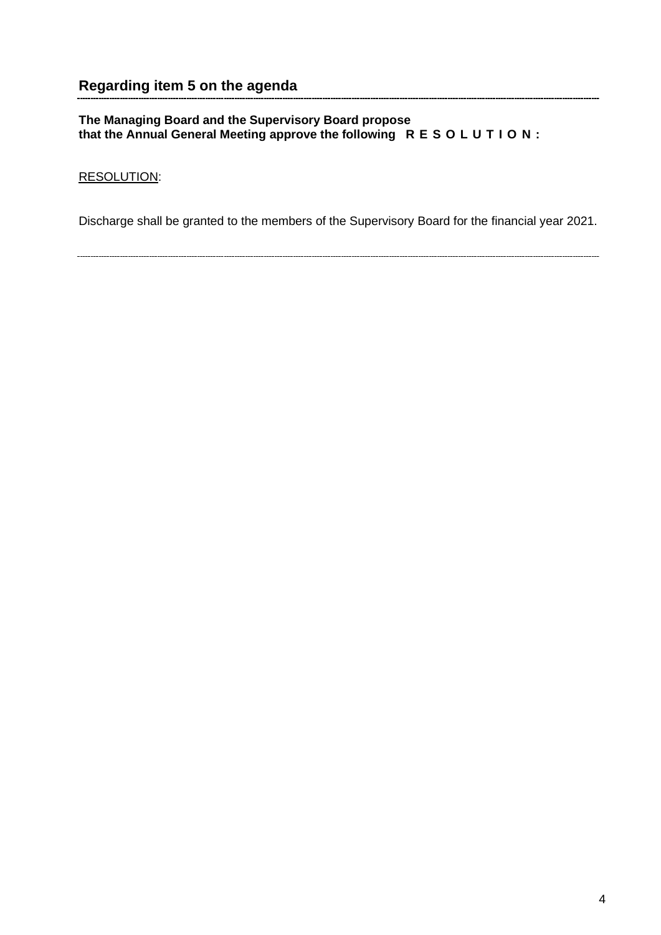## **The Managing Board and the Supervisory Board propose that the Annual General Meeting approve the following R E S O L U T I O N :**

## RESOLUTION:

Discharge shall be granted to the members of the Supervisory Board for the financial year 2021.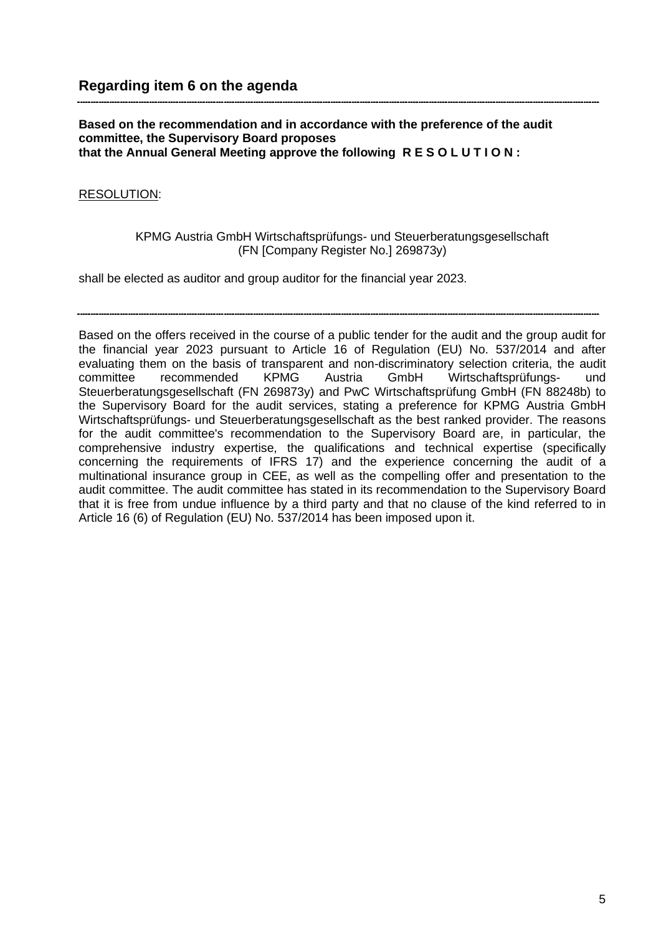#### **Based on the recommendation and in accordance with the preference of the audit committee, the Supervisory Board proposes that the Annual General Meeting approve the following R E S O L U T I O N :**

## RESOLUTION:

### KPMG Austria GmbH Wirtschaftsprüfungs- und Steuerberatungsgesellschaft (FN [Company Register No.] 269873y)

shall be elected as auditor and group auditor for the financial year 2023.

Based on the offers received in the course of a public tender for the audit and the group audit for the financial year 2023 pursuant to Article 16 of Regulation (EU) No. 537/2014 and after evaluating them on the basis of transparent and non-discriminatory selection criteria, the audit committee recommended KPMG Austria GmbH Wirtschaftsprüfungs- und Steuerberatungsgesellschaft (FN 269873y) and PwC Wirtschaftsprüfung GmbH (FN 88248b) to the Supervisory Board for the audit services, stating a preference for KPMG Austria GmbH Wirtschaftsprüfungs- und Steuerberatungsgesellschaft as the best ranked provider. The reasons for the audit committee's recommendation to the Supervisory Board are, in particular, the comprehensive industry expertise, the qualifications and technical expertise (specifically concerning the requirements of IFRS 17) and the experience concerning the audit of a multinational insurance group in CEE, as well as the compelling offer and presentation to the audit committee. The audit committee has stated in its recommendation to the Supervisory Board that it is free from undue influence by a third party and that no clause of the kind referred to in Article 16 (6) of Regulation (EU) No. 537/2014 has been imposed upon it.